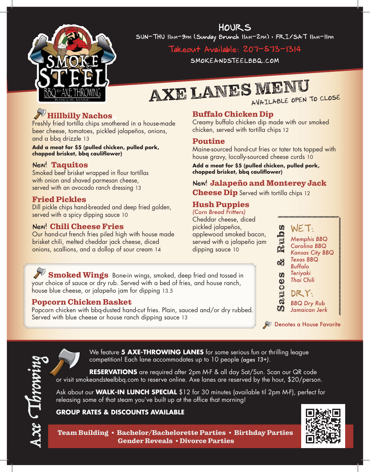

HOURS SUN-THU 11am-9pm (Sunday Brunch 11am-2pm) • FRI/SAT 11am-11pm

## Takeout Available: 207-573-1314

SMOKEANDSTEELBBQ.COM

# AXE LANES MENU

## Hillbilly Nachos

Freshly fried tortilla chips smothered in a house-made beer cheese, tomatoes, pickled jalapeños, onions, and a bbq drizzle 13

**Add a meat for \$5 (pulled chicken, pulled pork, chopped brisket, bbq cauliflower)**

### New! Taquitos

Smoked beef brisket wrapped in flour tortillas with onion and shaved parmesan cheese, served with an avocado ranch dressing 13

## Fried Pickles

Dill pickle chips hand-breaded and deep fried golden, served with a spicy dipping sauce 10

## New! Chili Cheese Fries

Popcorn Chicken Basket

Our hand-cut french fries piled high with house made brisket chili, melted cheddar jack cheese, diced onions, scallions, and a dollop of sour cream 14

house blue cheese, or jalapeño jam for dipping 13.5

Served with blue cheese or house ranch dipping sauce 13

Smoked Wings Bone-in wings, smoked, deep fried and tossed in

Popcorn chicken with bbq-dusted hand-cut fries. Plain, sauced and/or dry rubbed.

your choice of sauce or dry rub. Served with a bed of fries, and house ranch,

## Buffalo Chicken Dip

Creamy buffalo chicken dip made with our smoked chicken, served with tortilla chips 12

## Poutine

Maine-sourced hand-cut fries or tater tots topped with house gravy, locally-sourced cheese curds 10

**Add a meat for \$5 (pulled chicken, pulled pork, chopped brisket, bbq cauliflower)**

## New! Jalapeño and Monterey Jack

**Cheese Dip** Served with tortilla chips 12

## Hush Puppies

*(Corn Bread Fritters)* Cheddar cheese, diced pickled jalapeños, applewood smoked bacon, served with a jalapeño jam dipping sauce 10

Sauces & Rubs WET: *Memphis BBQ Carolina BBQ Kansas City BBQ Texas BBQ* 63 *Buffalo Teriyaki*   $\omega$ *Thai Chili*  $\omega$ 

UNC DRY:  $\mathbb{C}$ *BBQ Dry Rub* ZŊ. *Jamaican Jerk*

Denotes a House Favorite



We feature **5 AXE-THROWING LANES** for some serious fun or thrilling league competition! Each lane accommodates up to 10 people *(ages 13+)*.

**RESERVATIONS** are required after 2pm M-F & all day Sat/Sun. Scan our QR code or visit smokeandsteelbbq.com to reserve online. Axe lanes are reserved by the hour, \$20/person.

Ask about our **WALK-IN LUNCH SPECIAL** \$12 for 30 minutes (available til 2pm M-F), perfect for releasing some of that steam you've built up at the office that morning!

### **GROUP RATES & DISCOUNTS AVAILABLE**



Team Building • Bachelor/Bachelorette Parties • Birthday Parties Gender Reveals • Divorce Parties